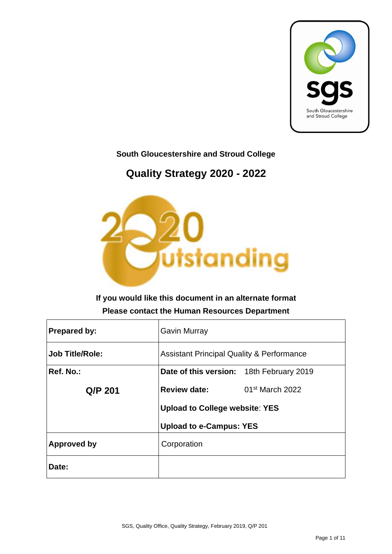

#### **South Gloucestershire and Stroud College**

### **Quality Strategy 2020 - 2022**



#### **If you would like this document in an alternate format Please contact the Human Resources Department**

| <b>Prepared by:</b>    | <b>Gavin Murray</b>                                  |                             |  |  |  |
|------------------------|------------------------------------------------------|-----------------------------|--|--|--|
| <b>Job Title/Role:</b> | <b>Assistant Principal Quality &amp; Performance</b> |                             |  |  |  |
| Ref. No.:              | Date of this version: 18th February 2019             |                             |  |  |  |
| Q/P 201                | <b>Review date:</b>                                  | 01 <sup>st</sup> March 2022 |  |  |  |
|                        | <b>Upload to College website: YES</b>                |                             |  |  |  |
|                        | <b>Upload to e-Campus: YES</b>                       |                             |  |  |  |
| <b>Approved by</b>     | Corporation                                          |                             |  |  |  |
| Date:                  |                                                      |                             |  |  |  |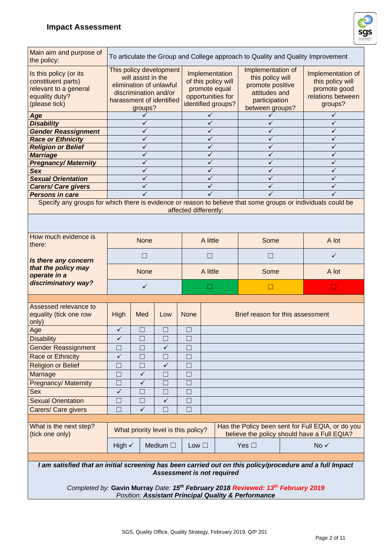

| Main aim and purpose of<br>the policy:                                                                                                | To articulate the Group and College approach to Quality and Quality Improvement                                                          |              |                                     |                                                                                                   |                                                                                                                |                                                                                                          |                                                                                       |                                                                                                  |  |
|---------------------------------------------------------------------------------------------------------------------------------------|------------------------------------------------------------------------------------------------------------------------------------------|--------------|-------------------------------------|---------------------------------------------------------------------------------------------------|----------------------------------------------------------------------------------------------------------------|----------------------------------------------------------------------------------------------------------|---------------------------------------------------------------------------------------|--------------------------------------------------------------------------------------------------|--|
| Is this policy (or its<br>constituent parts)<br>relevant to a general<br>equality duty?<br>(please tick)                              | This policy development<br>will assist in the<br>elimination of unlawful<br>discrimination and/or<br>harassment of identified<br>groups? |              |                                     | Implementation<br>of this policy will<br>promote equal<br>opportunities for<br>identified groups? | Implementation of<br>this policy will<br>promote positive<br>attitudes and<br>participation<br>between groups? |                                                                                                          | Implementation of<br>this policy will<br>promote good<br>relations between<br>groups? |                                                                                                  |  |
| Age                                                                                                                                   |                                                                                                                                          |              |                                     |                                                                                                   |                                                                                                                |                                                                                                          |                                                                                       |                                                                                                  |  |
| <b>Disability</b>                                                                                                                     |                                                                                                                                          |              |                                     |                                                                                                   | ✓                                                                                                              |                                                                                                          |                                                                                       | ✓                                                                                                |  |
| <b>Gender Reassignment</b>                                                                                                            |                                                                                                                                          |              |                                     |                                                                                                   | ✓                                                                                                              |                                                                                                          |                                                                                       |                                                                                                  |  |
| <b>Race or Ethnicity</b>                                                                                                              |                                                                                                                                          |              |                                     |                                                                                                   | ✓                                                                                                              |                                                                                                          |                                                                                       | ✓                                                                                                |  |
| <b>Religion or Belief</b>                                                                                                             |                                                                                                                                          |              |                                     |                                                                                                   | ✓                                                                                                              |                                                                                                          |                                                                                       |                                                                                                  |  |
| <b>Marriage</b>                                                                                                                       |                                                                                                                                          |              |                                     |                                                                                                   | ✓                                                                                                              |                                                                                                          |                                                                                       |                                                                                                  |  |
| <b>Pregnancy/Maternity</b>                                                                                                            |                                                                                                                                          |              |                                     |                                                                                                   | ✓                                                                                                              |                                                                                                          |                                                                                       | ✓                                                                                                |  |
| <b>Sex</b>                                                                                                                            |                                                                                                                                          |              |                                     |                                                                                                   | ✓                                                                                                              |                                                                                                          |                                                                                       | ✓                                                                                                |  |
| <b>Sexual Orientation</b>                                                                                                             |                                                                                                                                          |              |                                     |                                                                                                   | ✓                                                                                                              |                                                                                                          |                                                                                       | ✓                                                                                                |  |
| <b>Carers/ Care givers</b>                                                                                                            |                                                                                                                                          |              |                                     |                                                                                                   | ✓                                                                                                              |                                                                                                          |                                                                                       | ✓                                                                                                |  |
| <b>Persons in care</b>                                                                                                                |                                                                                                                                          |              |                                     |                                                                                                   |                                                                                                                |                                                                                                          |                                                                                       |                                                                                                  |  |
| Specify any groups for which there is evidence or reason to believe that some groups or individuals could be<br>affected differently: |                                                                                                                                          |              |                                     |                                                                                                   |                                                                                                                |                                                                                                          |                                                                                       |                                                                                                  |  |
|                                                                                                                                       |                                                                                                                                          |              |                                     |                                                                                                   |                                                                                                                |                                                                                                          |                                                                                       |                                                                                                  |  |
| How much evidence is<br>there:                                                                                                        |                                                                                                                                          | <b>None</b>  |                                     |                                                                                                   | A little                                                                                                       | Some                                                                                                     |                                                                                       | A lot                                                                                            |  |
| Is there any concern                                                                                                                  | Π                                                                                                                                        |              |                                     | П                                                                                                 |                                                                                                                |                                                                                                          | ✓                                                                                     |                                                                                                  |  |
| that the policy may<br>operate in a<br>discriminatory way?                                                                            | <b>None</b>                                                                                                                              |              |                                     | A little                                                                                          | Some                                                                                                           |                                                                                                          | A lot                                                                                 |                                                                                                  |  |
|                                                                                                                                       | ✓                                                                                                                                        |              |                                     |                                                                                                   | П                                                                                                              | П                                                                                                        |                                                                                       | $\Box$                                                                                           |  |
|                                                                                                                                       |                                                                                                                                          |              |                                     |                                                                                                   |                                                                                                                |                                                                                                          |                                                                                       |                                                                                                  |  |
|                                                                                                                                       |                                                                                                                                          |              |                                     |                                                                                                   |                                                                                                                |                                                                                                          |                                                                                       |                                                                                                  |  |
| Assessed relevance to<br>equality (tick one row                                                                                       | High                                                                                                                                     | Med          | Low                                 | <b>None</b>                                                                                       |                                                                                                                | Brief reason for this assessment                                                                         |                                                                                       |                                                                                                  |  |
| only)                                                                                                                                 | ✓                                                                                                                                        |              | $\Box$                              | $\Box$                                                                                            |                                                                                                                |                                                                                                          |                                                                                       |                                                                                                  |  |
| Age                                                                                                                                   | $\checkmark$                                                                                                                             | $\Box$       |                                     |                                                                                                   |                                                                                                                |                                                                                                          |                                                                                       |                                                                                                  |  |
| <b>Disability</b>                                                                                                                     |                                                                                                                                          | П            | П                                   |                                                                                                   |                                                                                                                |                                                                                                          |                                                                                       |                                                                                                  |  |
| <b>Gender Reassignment</b>                                                                                                            | $\Box$                                                                                                                                   | П            | ✓                                   | $\Box$                                                                                            |                                                                                                                |                                                                                                          |                                                                                       |                                                                                                  |  |
| Race or Ethnicity                                                                                                                     | ✓                                                                                                                                        | $\Box$       | $\Box$                              | П                                                                                                 |                                                                                                                |                                                                                                          |                                                                                       |                                                                                                  |  |
| <b>Religion or Belief</b>                                                                                                             | $\Box$                                                                                                                                   | $\Box$       | $\checkmark$                        | $\Box$                                                                                            |                                                                                                                |                                                                                                          |                                                                                       |                                                                                                  |  |
| Marriage                                                                                                                              | $\Box$                                                                                                                                   | $\checkmark$ | $\Box$                              | $\Box$                                                                                            |                                                                                                                |                                                                                                          |                                                                                       |                                                                                                  |  |
| <b>Pregnancy/ Maternity</b>                                                                                                           | $\Box$                                                                                                                                   | $\checkmark$ | $\Box$                              | $\Box$                                                                                            |                                                                                                                |                                                                                                          |                                                                                       |                                                                                                  |  |
| <b>Sex</b>                                                                                                                            | $\checkmark$                                                                                                                             | $\Box$       | $\Box$                              | $\Box$                                                                                            |                                                                                                                |                                                                                                          |                                                                                       |                                                                                                  |  |
| <b>Sexual Orientation</b>                                                                                                             | $\Box$                                                                                                                                   | $\Box$       | $\checkmark$                        | $\Box$                                                                                            |                                                                                                                |                                                                                                          |                                                                                       |                                                                                                  |  |
| Carers/ Care givers                                                                                                                   | $\mathcal{L}_{\mathcal{A}}$                                                                                                              | ✓            | П                                   | П                                                                                                 |                                                                                                                |                                                                                                          |                                                                                       |                                                                                                  |  |
|                                                                                                                                       |                                                                                                                                          |              |                                     |                                                                                                   |                                                                                                                |                                                                                                          |                                                                                       |                                                                                                  |  |
| What is the next step?<br>(tick one only)                                                                                             |                                                                                                                                          |              | What priority level is this policy? |                                                                                                   |                                                                                                                |                                                                                                          |                                                                                       | Has the Policy been sent for Full EQIA, or do you<br>believe the policy should have a Full EQIA? |  |
|                                                                                                                                       | High $\checkmark$                                                                                                                        |              | Medium $\square$                    | Low $\square$                                                                                     |                                                                                                                | Yes $\square$                                                                                            |                                                                                       | $No \checkmark$                                                                                  |  |
|                                                                                                                                       |                                                                                                                                          |              |                                     |                                                                                                   |                                                                                                                |                                                                                                          |                                                                                       |                                                                                                  |  |
| I am satisfied that an initial screening has been carried out on this policy/procedure and a full Impact                              |                                                                                                                                          |              |                                     |                                                                                                   | <b>Assessment is not required</b>                                                                              | Completed by: Gavin Murray Date: 15 <sup>th</sup> February 2018 Reviewed: 13 <sup>th</sup> February 2019 |                                                                                       |                                                                                                  |  |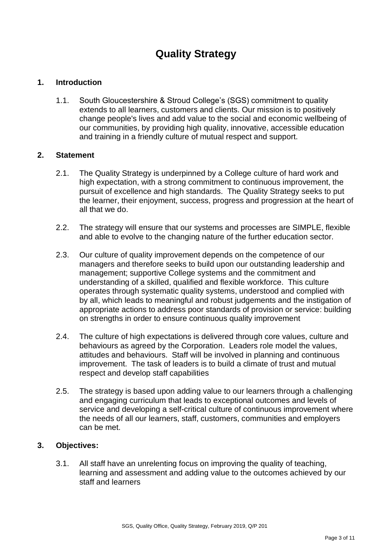### **Quality Strategy**

#### **1. Introduction**

1.1. South Gloucestershire & Stroud College's (SGS) commitment to quality extends to all learners, customers and clients. Our mission is to positively change people's lives and add value to the social and economic wellbeing of our communities, by providing high quality, innovative, accessible education and training in a friendly culture of mutual respect and support.

#### **2. Statement**

- 2.1. The Quality Strategy is underpinned by a College culture of hard work and high expectation, with a strong commitment to continuous improvement, the pursuit of excellence and high standards. The Quality Strategy seeks to put the learner, their enjoyment, success, progress and progression at the heart of all that we do.
- 2.2. The strategy will ensure that our systems and processes are SIMPLE, flexible and able to evolve to the changing nature of the further education sector.
- 2.3. Our culture of quality improvement depends on the competence of our managers and therefore seeks to build upon our outstanding leadership and management; supportive College systems and the commitment and understanding of a skilled, qualified and flexible workforce. This culture operates through systematic quality systems, understood and complied with by all, which leads to meaningful and robust judgements and the instigation of appropriate actions to address poor standards of provision or service: building on strengths in order to ensure continuous quality improvement
- 2.4. The culture of high expectations is delivered through core values, culture and behaviours as agreed by the Corporation. Leaders role model the values, attitudes and behaviours. Staff will be involved in planning and continuous improvement. The task of leaders is to build a climate of trust and mutual respect and develop staff capabilities
- 2.5. The strategy is based upon adding value to our learners through a challenging and engaging curriculum that leads to exceptional outcomes and levels of service and developing a self-critical culture of continuous improvement where the needs of all our learners, staff, customers, communities and employers can be met.

#### **3. Objectives:**

3.1. All staff have an unrelenting focus on improving the quality of teaching, learning and assessment and adding value to the outcomes achieved by our staff and learners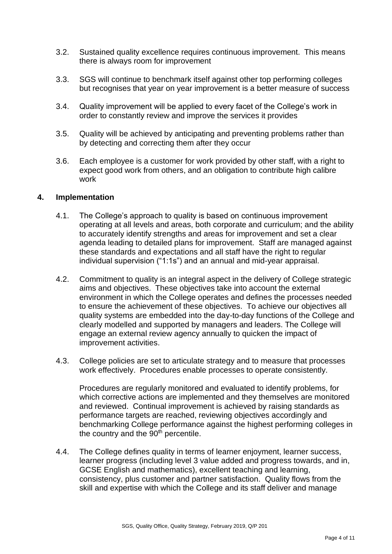- 3.2. Sustained quality excellence requires continuous improvement. This means there is always room for improvement
- 3.3. SGS will continue to benchmark itself against other top performing colleges but recognises that year on year improvement is a better measure of success
- 3.4. Quality improvement will be applied to every facet of the College's work in order to constantly review and improve the services it provides
- 3.5. Quality will be achieved by anticipating and preventing problems rather than by detecting and correcting them after they occur
- 3.6. Each employee is a customer for work provided by other staff, with a right to expect good work from others, and an obligation to contribute high calibre work

#### **4. Implementation**

- 4.1. The College's approach to quality is based on continuous improvement operating at all levels and areas, both corporate and curriculum; and the ability to accurately identify strengths and areas for improvement and set a clear agenda leading to detailed plans for improvement. Staff are managed against these standards and expectations and all staff have the right to regular individual supervision ("1:1s") and an annual and mid-year appraisal.
- 4.2. Commitment to quality is an integral aspect in the delivery of College strategic aims and objectives. These objectives take into account the external environment in which the College operates and defines the processes needed to ensure the achievement of these objectives. To achieve our objectives all quality systems are embedded into the day-to-day functions of the College and clearly modelled and supported by managers and leaders. The College will engage an external review agency annually to quicken the impact of improvement activities.
- 4.3. College policies are set to articulate strategy and to measure that processes work effectively. Procedures enable processes to operate consistently.

Procedures are regularly monitored and evaluated to identify problems, for which corrective actions are implemented and they themselves are monitored and reviewed. Continual improvement is achieved by raising standards as performance targets are reached, reviewing objectives accordingly and benchmarking College performance against the highest performing colleges in the country and the  $90<sup>th</sup>$  percentile.

4.4. The College defines quality in terms of learner enjoyment, learner success, learner progress (including level 3 value added and progress towards, and in, GCSE English and mathematics), excellent teaching and learning, consistency, plus customer and partner satisfaction. Quality flows from the skill and expertise with which the College and its staff deliver and manage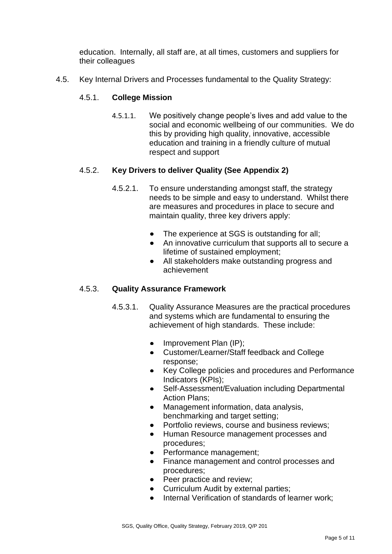education. Internally, all staff are, at all times, customers and suppliers for their colleagues

4.5. Key Internal Drivers and Processes fundamental to the Quality Strategy:

#### 4.5.1. **College Mission**

4.5.1.1. We positively change people's lives and add value to the social and economic wellbeing of our communities. We do this by providing high quality, innovative, accessible education and training in a friendly culture of mutual respect and support

#### 4.5.2. **Key Drivers to deliver Quality (See Appendix 2)**

- 4.5.2.1. To ensure understanding amongst staff, the strategy needs to be simple and easy to understand. Whilst there are measures and procedures in place to secure and maintain quality, three key drivers apply:
	- The experience at SGS is outstanding for all;
	- An innovative curriculum that supports all to secure a lifetime of sustained employment;
	- All stakeholders make outstanding progress and achievement

#### 4.5.3. **Quality Assurance Framework**

- 4.5.3.1. Quality Assurance Measures are the practical procedures and systems which are fundamental to ensuring the achievement of high standards. These include:
	- Improvement Plan (IP);
	- Customer/Learner/Staff feedback and College response;
	- $\bullet$ Key College policies and procedures and Performance Indicators (KPIs);
	- Self-Assessment/Evaluation including Departmental Action Plans;
	- Management information, data analysis, benchmarking and target setting;
	- Portfolio reviews, course and business reviews;
	- Human Resource management processes and procedures;
	- Performance management;
	- Finance management and control processes and procedures;
	- Peer practice and review;
	- Curriculum Audit by external parties;
	- Internal Verification of standards of learner work;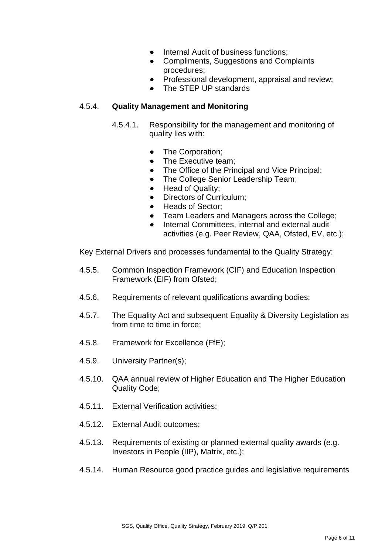- Internal Audit of business functions;
- Compliments, Suggestions and Complaints procedures;
- Professional development, appraisal and review;
- The STEP UP standards

#### 4.5.4. **Quality Management and Monitoring**

- 4.5.4.1. Responsibility for the management and monitoring of quality lies with:
	- $\bullet$ The Corporation;
	- The Executive team;
	- The Office of the Principal and Vice Principal;
	- The College Senior Leadership Team;
	- Head of Quality;
	- Directors of Curriculum;
	- Heads of Sector;
	- Team Leaders and Managers across the College;  $\bullet$ 
		- Internal Committees, internal and external audit activities (e.g. Peer Review, QAA, Ofsted, EV, etc.);

Key External Drivers and processes fundamental to the Quality Strategy:

- 4.5.5. Common Inspection Framework (CIF) and Education Inspection Framework (EIF) from Ofsted;
- 4.5.6. Requirements of relevant qualifications awarding bodies;
- 4.5.7. The Equality Act and subsequent Equality & Diversity Legislation as from time to time in force;
- 4.5.8. Framework for Excellence (FfE);

 $\bullet$ 

- 4.5.9. University Partner(s);
- 4.5.10. QAA annual review of Higher Education and The Higher Education Quality Code;
- 4.5.11. External Verification activities;
- 4.5.12. External Audit outcomes;
- 4.5.13. Requirements of existing or planned external quality awards (e.g. Investors in People (IIP), Matrix, etc.);
- 4.5.14. Human Resource good practice guides and legislative requirements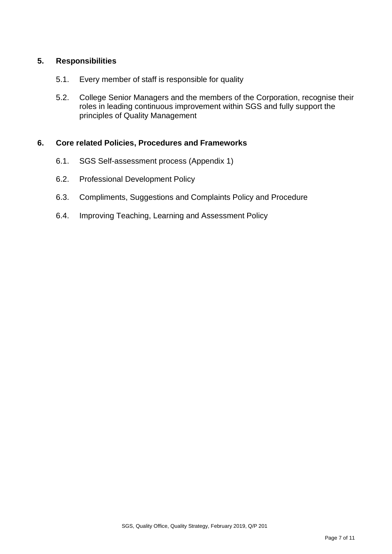#### **5. Responsibilities**

- 5.1. Every member of staff is responsible for quality
- 5.2. College Senior Managers and the members of the Corporation, recognise their roles in leading continuous improvement within SGS and fully support the principles of Quality Management

#### **6. Core related Policies, Procedures and Frameworks**

- 6.1. SGS Self-assessment process (Appendix 1)
- 6.2. Professional Development Policy
- 6.3. Compliments, Suggestions and Complaints Policy and Procedure
- 6.4. Improving Teaching, Learning and Assessment Policy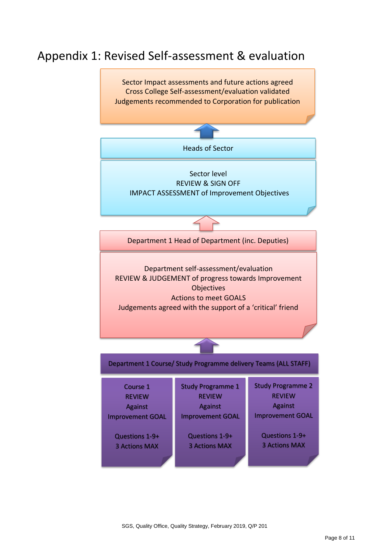### Appendix 1: Revised Self-assessment & evaluation

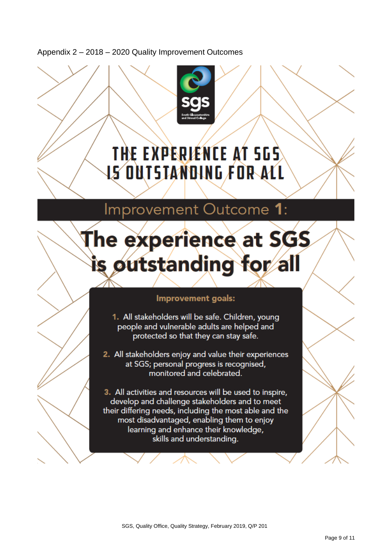Appendix 2 – 2018 – 2020 Quality Improvement Outcomes



## THE EXPERIENCE AT 5GS IS OUTSTANDING FOR ALL

## Improvement Outcome 1:

# The experience at SGS s outstanding for al

#### Improvement goals:

1. All stakeholders will be safe. Children, young people and vulnerable adults are helped and protected so that they can stay safe.

2. All stakeholders enjoy and value their experiences at SGS; personal progress is recognised, monitored and celebrated.

3. All activities and resources will be used to inspire, develop and challenge stakeholders and to meet their differing needs, including the most able and the most disadvantaged, enabling them to enjoy learning and enhance their knowledge, skills and understanding.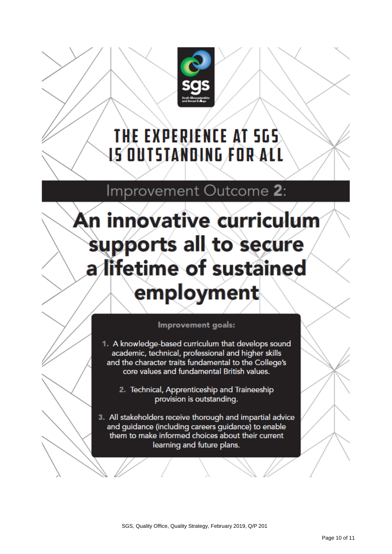

## THE EXPERIENCE AT 5GS IS OUTSTANDING FOR ALL

Improvement Outcome 2:

# An innovative curriculum supports all to secure a lifetime of sustained employment

#### Improvement goals:

1. A knowledge-based curriculum that develops sound academic, technical, professional and higher skills and the character traits fundamental to the College's core values and fundamental British values.

2. Technical, Apprenticeship and Traineeship provision is outstanding.

3. All stakeholders receive thorough and impartial advice and guidance (including careers guidance) to enable them to make informed choices about their current learning and future plans.